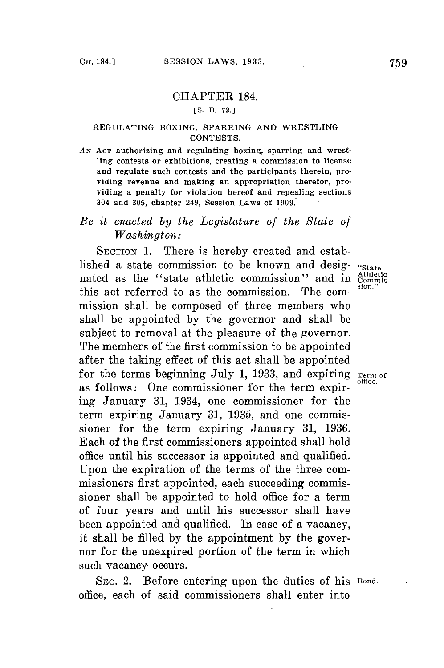## CHAPTER 184.

**[S. B. 72.]**

### **REGULATING BOXING, SPARRING AND WRESTLING CONTESTS.**

AN ACT authorizing and regulating boxing, sparring and wrest**ling contests or exhibitions, creating a commission to license and regulate such contests and the participants therein, providing revenue and making an appropriation therefor, providing a penalty for violation hereof and repealing sections 304 and 305, chapter 249, Session Laws of 1909.**

# *Be it enacted by the Legislature of the State of Washington:*

SECTION 1. There is hereby created and established a state commission to be known and desig- "State nated as the "state athletic commission" and in  $\frac{\text{athletic}}{\text{commis-}}$ this act referred to as the commission. The commission shall be composed of three members who shall be appointed **by** the governor and shall be subject to removal at the pleasure of the governor. The members of the first commission to be appointed after the taking effect of this act shall be appointed for the terms beginning July 1, 1933, and expiring Term of as follows: One commissioner for the term expiring January **31,** 1934, one commissioner for the term expiring January **31, 1935,** and one commissioner for the term expiring January **31, 1936.** Each of the first commissioners appointed shall hold office until his successor is appointed and qualified. Upon the expiration of the terms of the three commissioners first appointed, each succeeding commissioner shall be appointed to hold office for a term of four years and until his successor shall have been appointed and qualified. In case of a vacancy, it shall be filled **by** the appointment **by** the governor for the unexpired portion of the term in which such vacancy occurs.

SEC. 2. Before entering upon the duties of his Bond. office, each of said commissioners shall enter into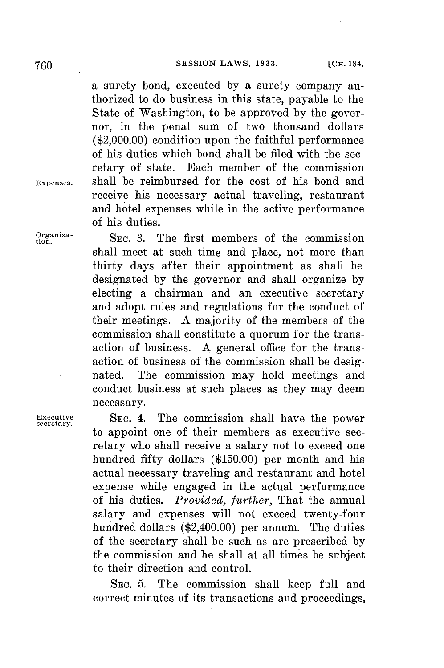a surety bond, executed **by** a surety company authorized to do business in this state, payable to the State of Washington, to be approved **by** the governor, in the penal sum of two thousand dollars (\$2,000.00) condition upon the faithful performance of his duties which bond shall be filed with the secretary of state. Each member of the commission **Expenses.** shall be reimbursed **for** the cost of his bond and receive his necessary actual traveling, restaurant and hotel expenses while in the active performance of his duties.

**tgniza-** SEc. **3.** The first members of the commission shall meet at such time and place, not more than thirty days after their appointment as shall be designated **by** the governor and shall organize **by** electing a chairman and an executive secretary and adopt rules and regulations for the conduct of their meetings. **A** majority of the members of the commission shall constitute a quorum for the transaction of business. **A** general office for the transaction of business of the commission shall be designated. The commission may hold meetings and conduct business at such places as they may deem necessary.

**Executive SEC.** 4. The commission shall have the power **secretary.** to appoint one of their members as executive secretary who shall receive a salary not to exceed one hundred fifty dollars **(\$150.00)** per month and his actual necessary traveling and restaurant and hotel expense while engaged in the actual performance of his duties. *Provided, further,* That the annual salary and expenses will not exceed twenty-four hundred dollars (\$2,400.00) per annum. The duties of the secretary shall be such as are prescribed **by** the commission and he shall at all times be subject to their direction and control.

> **SEC. 5.** The commission shall keep full and correct minutes of its transactions and proceedings,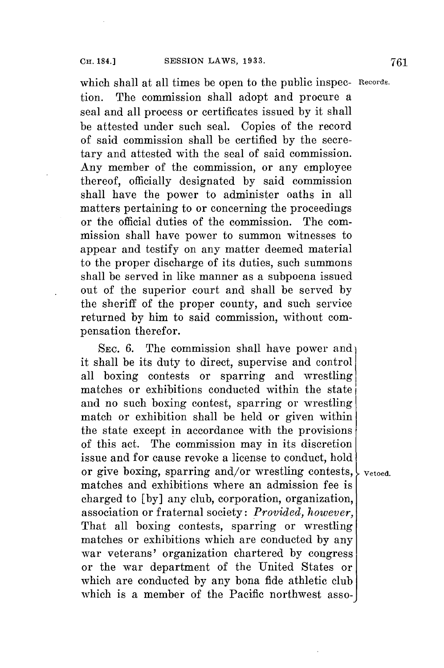which shall at all times **be** open to the public inspec- **Records.** tion. The commission shall adopt and procure a seal and all process or certificates issued **by** it shall be attested under such seal. Copies of the record of said commission shall be certified **by** the secretary and attested with the seal of said commission. Any member of the commission, or any employee thereof, officially designated **by** said commission shall have the power to administer oaths in all matters pertaining to or concerning the proceedings or the official duties of the commission. The commission shall have power to summon witnesses to appear and testify on any matter deemed material to the proper discharge of its duties, such summons shall be served in like manner as a subpoena issued out of the superior court and shall be served **by** the sheriff of the proper county, and such service returned **by** him to said commission, without compensation therefor.

SEC. 6. The commission shall have power and it shall be its duty to direct, supervise and control all boxing contests or sparring and wrestling matches or exhibitions conducted within the state and no such boxing contest, sparring or wrestling match or exhibition shall be held or given within the state except in accordance with the provisions of this act. The commission may in its discretion issue and for cause revoke a license to conduct, hold or give boxing, sparring and/or wrestling contests,  $\frac{1}{2}$  v<sub>etoed</sub>. matches and exhibitions where an admission fee is charged to **[by]** any club, corporation, organization, association or fraternal society: *Provided, however,* That all boxing contests, sparring or wrestling matches or exhibitions which are conducted **by** any war veterans' organization chartered **by** congress or the war department of the United States or which are conducted **by** any bona fide athletic club which is a member of the Pacific northwest asso-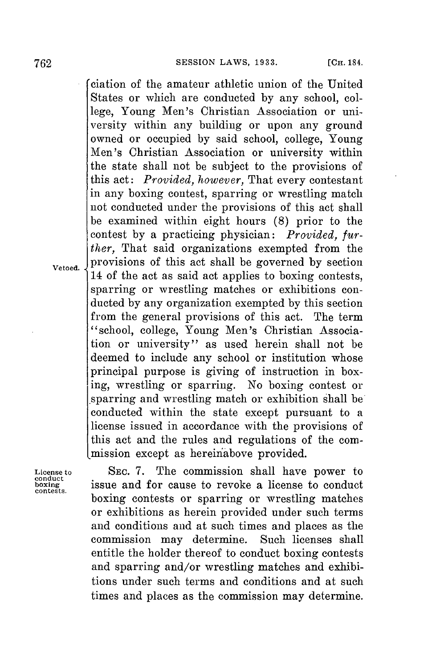ciation of the amateur athletic union of the United States or which are conducted **by** any school, college, Young Men's Christian Association or university within any building or upon any ground owned or occupied **by** said school, college, Young Men's Christian Association or university within the state shall not be subject to the provisions of this act: *Provided, however,* That every contestant in any boxing contest, sparring or wrestling match not conducted under the provisions of this act shall be examined within eight hours **(8)** prior to the contest **by** a practicing physician: *Provided, further,* That said organizations exempted from the  $_{\text{Vetoed.}}$  provisions of this act shall be governed by section 14 of the act as said act applies to boxing contests, sparring or wrestling matches or exhibitions conducted **by** any organization exempted **by** this section from the general provisions of this act. The term "school, college, Young Men's Christian Association or university" as used herein shall not be deemed to include any school or institution whose principal purpose is giving of instruction in box**ing,** wrestling or sparring. No boxing contest or .sparring and wrestling match or exhibition shall be conducted within the state except pursuant to a license issued in accordance with the provisions of this act and the rules and regulations of the commission except as hereinabove provided.

License to SEC. 7. The commission shall have power to conduct<br>boxing issue and for cause to revoke a license to conduct<br>contests. issue and for cause to revoke a license to conduct boxing contests or sparring or wrestling matches or exhibitions as herein provided under such terms and conditions and at such times and places as the commission may determine. Such licenses shall entitle the holder thereof to conduct boxing contests and sparring and/or wrestling matches and exhibitions under such terms and conditions and at such times and places as the commission may determine.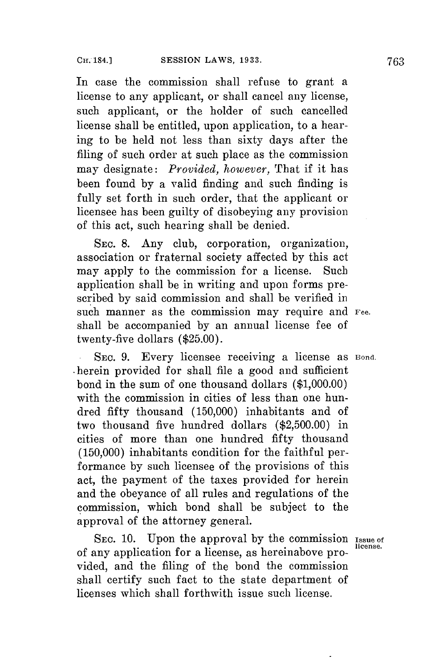**In** case the commission shall refuse to grant a license to any applicant, or shall cancel any license, such applicant, or the holder of such cancelled license shall be entitled, upon application, to a hearing to be held not less than sixty days after the filing of such order at such place as the commission may designate: *Provided, however,* That if it has been found **by** a valid finding and such finding is fully set forth in such order, that the applicant or licensee has been guilty of disobeying any provision of this act, such hearing shall be denied.

SEC. **S.** Any club, corporation, organization, association or fraternal society affected **by** this act may apply to the commission for a license. Such application shall be in writing and upon forms prescribed **by** said commission and shall be verified in such manner as the commission may require and **Fee.** shall be accompanied **by** an annual license fee of twenty-five dollars **(\$25.00).**

**. SEC. 9.** Every licensee receiving a license as **Bond.** -herein provided for shall file a good and sufficient bond in the sum of one thousand dollars **(\$1,000.00)** with the commission in cities of less than one hundred fifty thousand **(150,000)** inhabitants and of two thousand five hundred dollars **(\$2,500.00)** in cities of more than one hundred fifty thousand **(150,000)** inhabitants condition for the faithful performance **by** such licensee of the provisions of this act, the payment of the taxes provided for herein and the obeyance of all rules and regulations of the commission, which bond shall be subject to the approval of the attorney general.

**SEc. 10.** Upon the approval **by** the commission **Issue of** of any application for a license, as hereinabove provided, and the filing of the bond the commission shall certify such fact to the state department of licenses which shall forthwith issue such license.

**license.**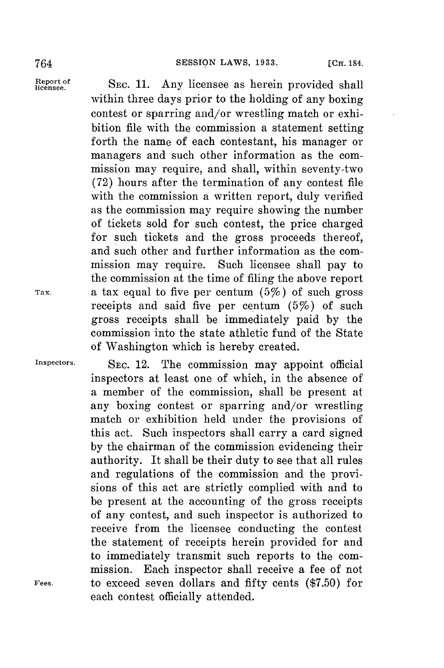Report of SEC. 11. Any licensee as herein provided shall within three days prior to the holding of any boxing contest or sparring and/or wrestling match or exhibition file with the commission a statement setting forth the name of each contestant, his manager or managers and such other information as the commission may require, and shall, within seventy-two **(72)** hours after the termination of any contest file with the commission a written report, duly verified as the commission may require showing the number of tickets sold for such contest, the price charged for such tickets and the gross proceeds thereof, and such other and further information as the commission may require. Such licensee shall pay to the commission at the time of filing the above report **Tax.** a tax equal to five per centum (5%) of such gross receipts and said five per centum (5%) of such gross receipts shall be immediately paid **by** the commission into the state athletic fund of the State of Washington which is hereby created.

**Inspectors. SEC.** 12. The commission may appoint official inspectors at least one of which, in the absence of a member of the commission, shall be present at any boxing contest or sparring and/or wrestling match or exhibition held under the provisions of this act. Such inspectors shall carry a card signed **by** the chairman of the commission evidencing their authority. It shall be their duty to see that all rules and regulations of the commission and the provisions of this act are strictly complied with and to be present at the accounting of the gross receipts of any contest, and such inspector is authorized to receive from the licensee conducting the contest the statement of receipts herein provided for and to immediately transmit such reports to the commission. Each inspector shall receive a fee of not **Fees,** to exceed seven dollars and fifty cents **(\$7.50)** for each contest officially attended.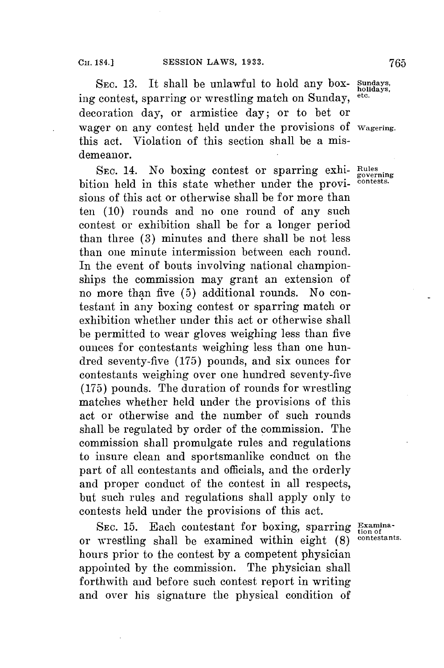SEC. 13. It shall be unlawful to hold any box**holidays,** ing contest, sparring or wrestling match on Sunday, decoration day, or armistice day; or to bet or wager **on** any contest held under the provisions of **Wagering.** this act. Violation of this section shall be a misdemeanor.

SEC. 14. No boxing contest or sparring exhi- Rules<br>flow held in this state whether under the provibition held in this state whether under the provisions of this act or otherwise shall be for more than ten **(10)** rounds and no one round of any such contest or exhibition shall be for a longer period than three **(3)** minutes and there shall be not less than one minute intermission between each round. In the event of bouts involving national championships the commission may grant an extension of no more than five **(5)** additional rounds. No contestant in any boxing contest or sparring match or exhibition whether under this act or otherwise shall be permitted to wear gloves weighing less than five ounces for contestants weighing less than one hundred seventy-five *(175)* pounds, and six ounces for contestants weighing over one hundred seventy-five **(175)** pounds. The duration of rounds **for** wrestling matches whether held under the provisions of this act or otherwise and the number of such rounds shall be regulated **by** order of the commission. The commission shall promulgate rules and regulations to insure clean and sportsmanlike conduct on the part of all contestants and officials, and the orderly and proper conduct of the contest in all respects, but such rules and regulations shall apply only to contests held under the provisions of this act.

**SEC. 15.** Each contestant for boxing, sparring **Examina**or wrestling shall be examined within eight  $(8)$ hours prior to the contest **by** a competent physician appointed **by** the commission. The physician shall forthwith and before such contest report in writing and over his signature the physical condition of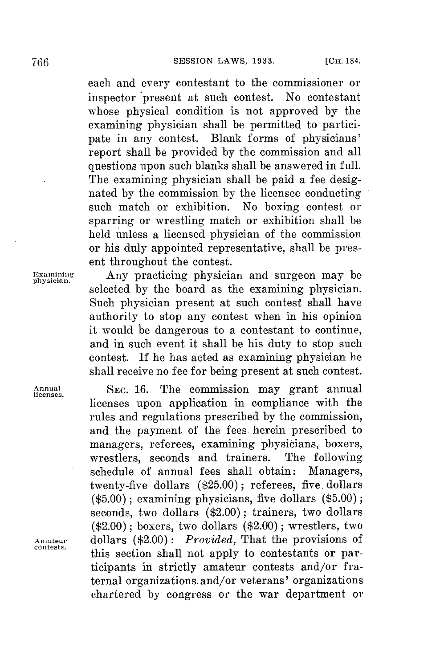each and every contestant to the commissioner or inspector 'present at such contest. No contestant whose physical condition is not approved **by** the examining physician shall be permitted to participate in any contest. Blank forms of physicians' report shall be provided **by** the commission and all questions upon such blanks shall be answered in full. The examining physician shall be paid a fee designated **by** the commission **by** the licensee conducting such match or exhibition. No boxing contest or sparring or wrestling match or exhibition shall be held unless a licensed physician of the commission or his duly appointed representative, shall be present throughout the contest.

**contests.**

**Examining** Any practicing physician and surgeon may be **physician.** selected **by** the board as the examining physician. Such physician present at such contest shall have authority to stop any contest when in his opinion it would be dangerous to a contestant to continue, and in such event it shall be his duty to stop such contest. **If** he has acted as examining physician he shall receive no **fee for** being present at such contest.

**Annual SEC. 16.** The commission may grant annual **licenses.** licenses upon application in compliance with the rules and regulations prescribed **by** the commission, and the payment of the fees herein prescribed to managers, referees, examining physicians, boxers, wrestlers, seconds and trainers. The following wrestlers, seconds and trainers. schedule of annual fees shall obtain: Managers, twenty-five dollars **(\$25.00);** referees, five. dollars **(\$5.00);** examining physicians, five dollars **(\$5.00);** seconds, two dollars (\$2.00); trainers, two dollars (\$2.00); boxers, two dollars (\$2.00) **;** wrestlers, two **Amateur** dollars (\$2.00) *: Provided,* That the provisions of this section shall not apply to contestants or participants in strictly amateur contests and/or fraternal organizations. and/or veterans' organizations chartered **by** congress or the war department or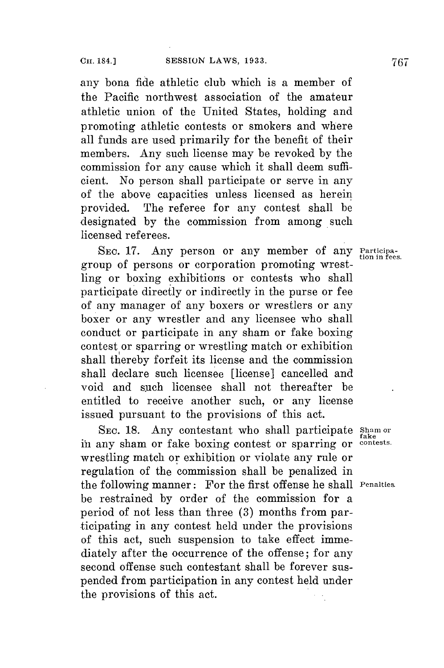any bona fide athletic club which is a member of the Pacific northwest association of the amateur athletic union of the United States, holding and promoting athletic contests or smokers and where all funds are used primarily for the benefit of their members. Any such license may be revoked **by** the commission for any cause which it shall deem sufficient. No person shall participate or serve in any of the above capacities unless licensed as herein provided. The referee for any contest shall **be** designated **by** the commission from among such licensed referees.

SEC. 17. Any person or any member of any **Participa**group of persons or corporation promoting wrestling or boxing exhibitions or contests who shall participate directly or indirectly in the purse or fee of any manager of any boxers or wrestlers or any boxer or any wrestler and any licensee who shall conduct or participate in any sham or fake boxing contest or sparring or wrestling match or exhibition shall thereby forfeit its license and the commission shall declare such licensee [license] cancelled and void and such licensee shall not thereafter be entitled to receive another such, or any license issued pursuant to the provisions of this act.

**SEc. 18.** Any contestant who shall participate **Sham or fake** in any sham or fake boxing contest or sparring or **contests.** wrestling match or exhibition or violate any rule or regulation of the commission shall be penalized in the following manner: For the first offense he shall **Penalties.** be restrained **by** order of the commission for a period of not less than three **(3)** months from participating in any contest held under the provisions of this act, such suspension to take effect immediately after the occurrence of the offense; for any second offense such contestant shall be forever suspended from participation in any contest held under the provisions of this act.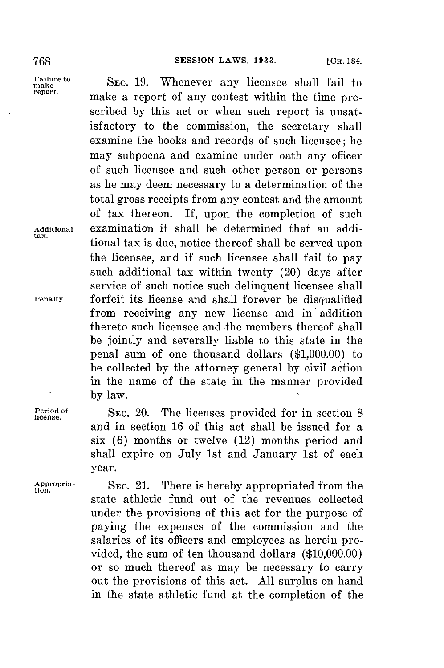Failure to SEC. 19. Whenever any licensee shall fail to report. make a report of any contest within the time prescribed **by** this act or when such report is unsatisfactory to the commission, the secretary shall examine the books and records of such licensee; he may subpoena and examine under oath any officer of such licensee and such other person or persons as he may deem necessary to a determination of the total gross receipts from any contest and the amount of tax thereon. If, upon the completion of such **Additional** examination it shall be determined that an additional tax is due, notice thereof shall be served upon the licensee, and if such licensee shall fail to pay such additional tax within twenty (20) days after service of such notice such delinquent licensee shall **Penalty.** forfeit its license and shall forever be disqualified from receiving any new license and in addition thereto such licensee and the members thereof shall be jointly and severally liable to this state in the penal sum of one thousand dollars **(\$1,000.00)** to be collected **by** the attorney general **by** civil action in the name of the state in the manner provided **by** law.

> **of SEC.** 20. The licenses provided for in section **8** and in section **16** of this act shall be issued for a six **(6)** months or twelve (12) months period and shall expire on July 1st and January 1st of each year.

**Appropria- SEC.** 21. There is hereby appropriated from the **tion.** state athletic fund out of the revenues collected under the provisions of this act for the purpose of paying the expenses of the commission and the salaries of its officers and employees as herein provided, the sum of ten thousand dollars **(\$10,000.00)** or so much thereof as may be necessary to carry out the provisions of this act. **All** surplus on hand in the state athletic fund at the completion of the

**Period license.**

**tax.**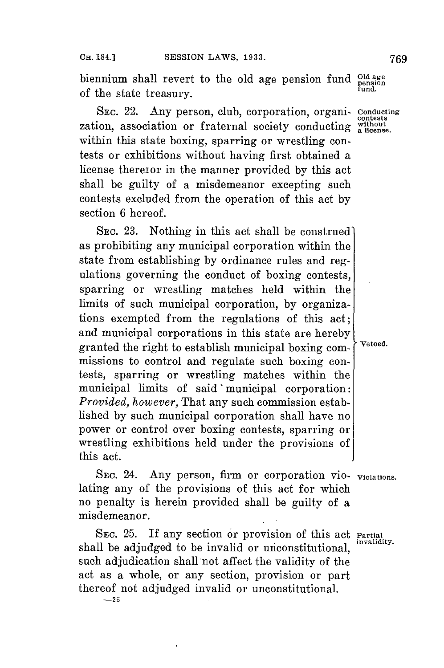biennium shall revert to the old age pension fund **Old age** of the state treasury. **fund.**

SEc. 22. Any person, club, corporation, organi- **Conducting** zation, association or fraternal society conducting without within this state boxing, sparring or wrestling contests or exhibitions without having first obtained a license theretor in the manner provided **by** this act shall be guilty of a misdemeanor excepting such contests excluded from the operation of this act **by** section **6** hereof.

SEC. 23. Nothing in this act shall be construed) as prohibiting any municipal corporation within the state from establishing **by** ordinance rules and regulations governing the conduct of boxing contests, sparring or wrestling matches held within the limits of such municipal corporation, **by** organizations exempted from the regulations of this act; and municipal corporations in this state are hereby granted the right to establish municipal boxing com- vetoed. missions to control and regulate such boxing contests, sparring or wrestling matches within the municipal limits of said 'municipal corporation: *Provided, however,* That any such commission established **by** such municipal corporation shall have no power or control over boxing contests, sparring or wrestling exhibitions held under the provisions of this act.

SEC. 24. Any person, firm or corporation vio- violations. lating any of the provisions of this act for which no penalty is herein provided shall be guilty of a misdemeanor.

SEc. **25. If** any section or provision of this act **Partial** shall be adjudged to be invalid or unconstitutional. such adjudication shall not affect the validity of the act as a whole, or any section, provision or part thereof not adjudged invalid or unconstitutional. **-25**